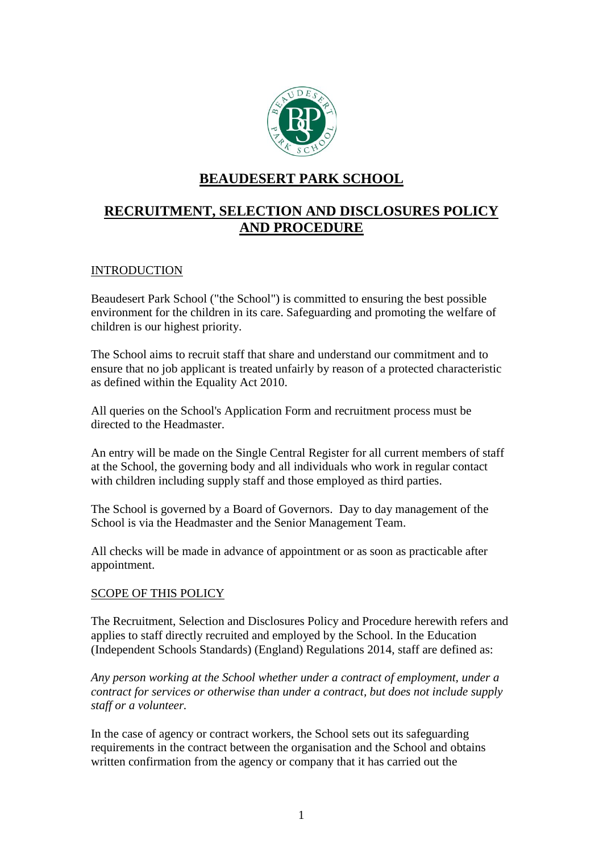

## **BEAUDESERT PARK SCHOOL**

# **RECRUITMENT, SELECTION AND DISCLOSURES POLICY AND PROCEDURE**

## **INTRODUCTION**

Beaudesert Park School ("the School") is committed to ensuring the best possible environment for the children in its care. Safeguarding and promoting the welfare of children is our highest priority.

The School aims to recruit staff that share and understand our commitment and to ensure that no job applicant is treated unfairly by reason of a protected characteristic as defined within the Equality Act 2010.

All queries on the School's Application Form and recruitment process must be directed to the Headmaster.

An entry will be made on the Single Central Register for all current members of staff at the School, the governing body and all individuals who work in regular contact with children including supply staff and those employed as third parties.

The School is governed by a Board of Governors. Day to day management of the School is via the Headmaster and the Senior Management Team.

All checks will be made in advance of appointment or as soon as practicable after appointment.

## SCOPE OF THIS POLICY

The Recruitment, Selection and Disclosures Policy and Procedure herewith refers and applies to staff directly recruited and employed by the School. In the Education (Independent Schools Standards) (England) Regulations 2014, staff are defined as:

*Any person working at the School whether under a contract of employment, under a contract for services or otherwise than under a contract, but does not include supply staff or a volunteer.*

In the case of agency or contract workers, the School sets out its safeguarding requirements in the contract between the organisation and the School and obtains written confirmation from the agency or company that it has carried out the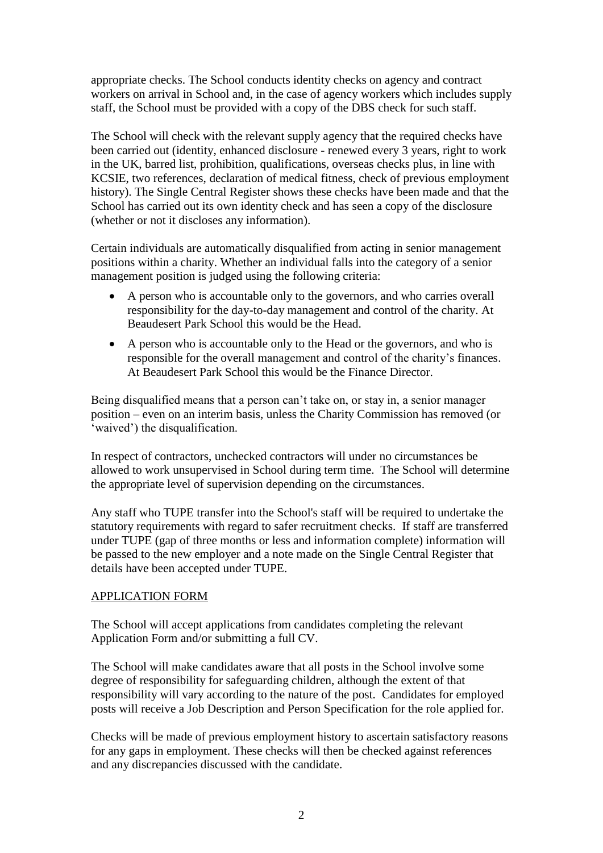appropriate checks. The School conducts identity checks on agency and contract workers on arrival in School and, in the case of agency workers which includes supply staff, the School must be provided with a copy of the DBS check for such staff.

The School will check with the relevant supply agency that the required checks have been carried out (identity, enhanced disclosure - renewed every 3 years, right to work in the UK, barred list, prohibition, qualifications, overseas checks plus, in line with KCSIE, two references, declaration of medical fitness, check of previous employment history). The Single Central Register shows these checks have been made and that the School has carried out its own identity check and has seen a copy of the disclosure (whether or not it discloses any information).

Certain individuals are automatically disqualified from acting in senior management positions within a charity. Whether an individual falls into the category of a senior management position is judged using the following criteria:

- A person who is accountable only to the governors, and who carries overall responsibility for the day-to-day management and control of the charity. At Beaudesert Park School this would be the Head.
- A person who is accountable only to the Head or the governors, and who is responsible for the overall management and control of the charity's finances. At Beaudesert Park School this would be the Finance Director.

Being disqualified means that a person can't take on, or stay in, a senior manager position – even on an interim basis, unless the Charity Commission has removed (or 'waived') the disqualification.

In respect of contractors, unchecked contractors will under no circumstances be allowed to work unsupervised in School during term time. The School will determine the appropriate level of supervision depending on the circumstances.

Any staff who TUPE transfer into the School's staff will be required to undertake the statutory requirements with regard to safer recruitment checks. If staff are transferred under TUPE (gap of three months or less and information complete) information will be passed to the new employer and a note made on the Single Central Register that details have been accepted under TUPE.

#### APPLICATION FORM

The School will accept applications from candidates completing the relevant Application Form and/or submitting a full CV.

The School will make candidates aware that all posts in the School involve some degree of responsibility for safeguarding children, although the extent of that responsibility will vary according to the nature of the post. Candidates for employed posts will receive a Job Description and Person Specification for the role applied for.

Checks will be made of previous employment history to ascertain satisfactory reasons for any gaps in employment. These checks will then be checked against references and any discrepancies discussed with the candidate.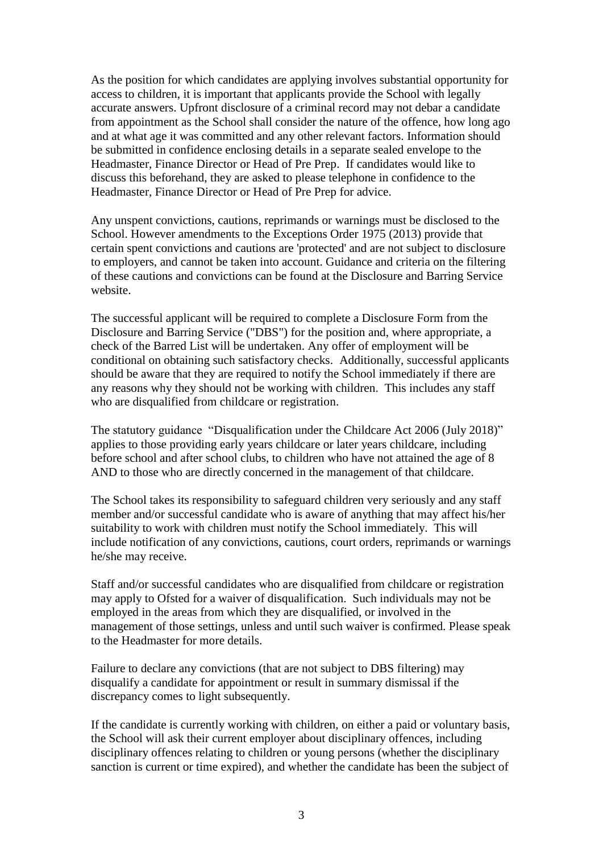As the position for which candidates are applying involves substantial opportunity for access to children, it is important that applicants provide the School with legally accurate answers. Upfront disclosure of a criminal record may not debar a candidate from appointment as the School shall consider the nature of the offence, how long ago and at what age it was committed and any other relevant factors. Information should be submitted in confidence enclosing details in a separate sealed envelope to the Headmaster, Finance Director or Head of Pre Prep. If candidates would like to discuss this beforehand, they are asked to please telephone in confidence to the Headmaster, Finance Director or Head of Pre Prep for advice.

Any unspent convictions, cautions, reprimands or warnings must be disclosed to the School. However amendments to the Exceptions Order 1975 (2013) provide that certain spent convictions and cautions are 'protected' and are not subject to disclosure to employers, and cannot be taken into account. Guidance and criteria on the filtering of these cautions and convictions can be found at the Disclosure and Barring Service website.

The successful applicant will be required to complete a Disclosure Form from the Disclosure and Barring Service ("DBS") for the position and, where appropriate, a check of the Barred List will be undertaken. Any offer of employment will be conditional on obtaining such satisfactory checks. Additionally, successful applicants should be aware that they are required to notify the School immediately if there are any reasons why they should not be working with children. This includes any staff who are disqualified from childcare or registration.

The statutory guidance "Disqualification under the Childcare Act 2006 (July 2018)" applies to those providing early years childcare or later years childcare, including before school and after school clubs, to children who have not attained the age of 8 AND to those who are directly concerned in the management of that childcare.

The School takes its responsibility to safeguard children very seriously and any staff member and/or successful candidate who is aware of anything that may affect his/her suitability to work with children must notify the School immediately. This will include notification of any convictions, cautions, court orders, reprimands or warnings he/she may receive.

Staff and/or successful candidates who are disqualified from childcare or registration may apply to Ofsted for a waiver of disqualification. Such individuals may not be employed in the areas from which they are disqualified, or involved in the management of those settings, unless and until such waiver is confirmed. Please speak to the Headmaster for more details.

Failure to declare any convictions (that are not subject to DBS filtering) may disqualify a candidate for appointment or result in summary dismissal if the discrepancy comes to light subsequently.

If the candidate is currently working with children, on either a paid or voluntary basis, the School will ask their current employer about disciplinary offences, including disciplinary offences relating to children or young persons (whether the disciplinary sanction is current or time expired), and whether the candidate has been the subject of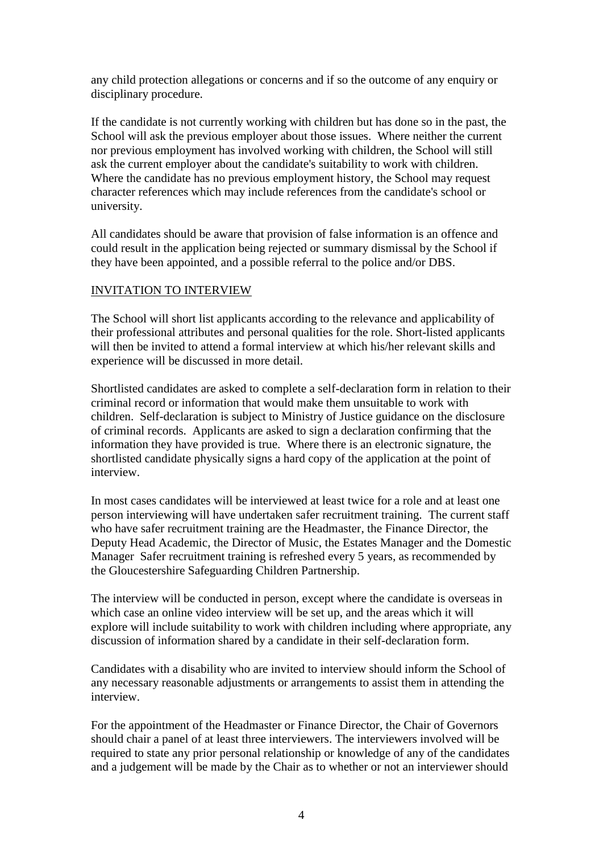any child protection allegations or concerns and if so the outcome of any enquiry or disciplinary procedure.

If the candidate is not currently working with children but has done so in the past, the School will ask the previous employer about those issues. Where neither the current nor previous employment has involved working with children, the School will still ask the current employer about the candidate's suitability to work with children. Where the candidate has no previous employment history, the School may request character references which may include references from the candidate's school or university.

All candidates should be aware that provision of false information is an offence and could result in the application being rejected or summary dismissal by the School if they have been appointed, and a possible referral to the police and/or DBS.

#### INVITATION TO INTERVIEW

The School will short list applicants according to the relevance and applicability of their professional attributes and personal qualities for the role. Short-listed applicants will then be invited to attend a formal interview at which his/her relevant skills and experience will be discussed in more detail.

Shortlisted candidates are asked to complete a self-declaration form in relation to their criminal record or information that would make them unsuitable to work with children. Self-declaration is subject to Ministry of Justice guidance on the disclosure of criminal records. Applicants are asked to sign a declaration confirming that the information they have provided is true. Where there is an electronic signature, the shortlisted candidate physically signs a hard copy of the application at the point of interview.

In most cases candidates will be interviewed at least twice for a role and at least one person interviewing will have undertaken safer recruitment training. The current staff who have safer recruitment training are the Headmaster, the Finance Director, the Deputy Head Academic, the Director of Music, the Estates Manager and the Domestic Manager Safer recruitment training is refreshed every 5 years, as recommended by the Gloucestershire Safeguarding Children Partnership.

The interview will be conducted in person, except where the candidate is overseas in which case an online video interview will be set up, and the areas which it will explore will include suitability to work with children including where appropriate, any discussion of information shared by a candidate in their self-declaration form.

Candidates with a disability who are invited to interview should inform the School of any necessary reasonable adjustments or arrangements to assist them in attending the interview.

For the appointment of the Headmaster or Finance Director, the Chair of Governors should chair a panel of at least three interviewers. The interviewers involved will be required to state any prior personal relationship or knowledge of any of the candidates and a judgement will be made by the Chair as to whether or not an interviewer should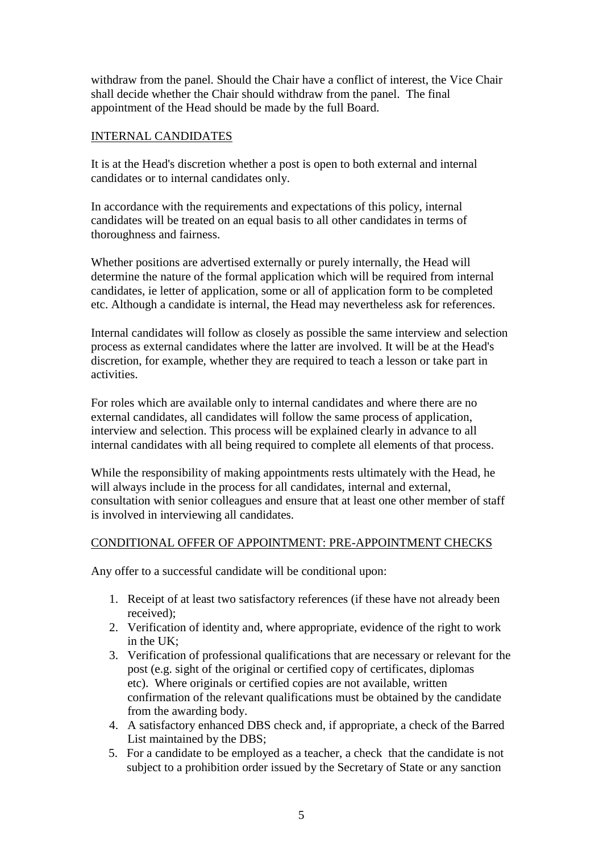withdraw from the panel. Should the Chair have a conflict of interest, the Vice Chair shall decide whether the Chair should withdraw from the panel. The final appointment of the Head should be made by the full Board.

## INTERNAL CANDIDATES

It is at the Head's discretion whether a post is open to both external and internal candidates or to internal candidates only.

In accordance with the requirements and expectations of this policy, internal candidates will be treated on an equal basis to all other candidates in terms of thoroughness and fairness.

Whether positions are advertised externally or purely internally, the Head will determine the nature of the formal application which will be required from internal candidates, ie letter of application, some or all of application form to be completed etc. Although a candidate is internal, the Head may nevertheless ask for references.

Internal candidates will follow as closely as possible the same interview and selection process as external candidates where the latter are involved. It will be at the Head's discretion, for example, whether they are required to teach a lesson or take part in activities.

For roles which are available only to internal candidates and where there are no external candidates, all candidates will follow the same process of application, interview and selection. This process will be explained clearly in advance to all internal candidates with all being required to complete all elements of that process.

While the responsibility of making appointments rests ultimately with the Head, he will always include in the process for all candidates, internal and external, consultation with senior colleagues and ensure that at least one other member of staff is involved in interviewing all candidates.

#### CONDITIONAL OFFER OF APPOINTMENT: PRE-APPOINTMENT CHECKS

Any offer to a successful candidate will be conditional upon:

- 1. Receipt of at least two satisfactory references (if these have not already been received);
- 2. Verification of identity and, where appropriate, evidence of the right to work in the UK;
- 3. Verification of professional qualifications that are necessary or relevant for the post (e.g. sight of the original or certified copy of certificates, diplomas etc). Where originals or certified copies are not available, written confirmation of the relevant qualifications must be obtained by the candidate from the awarding body.
- 4. A satisfactory enhanced DBS check and, if appropriate, a check of the Barred List maintained by the DBS;
- 5. For a candidate to be employed as a teacher, a check that the candidate is not subject to a prohibition order issued by the Secretary of State or any sanction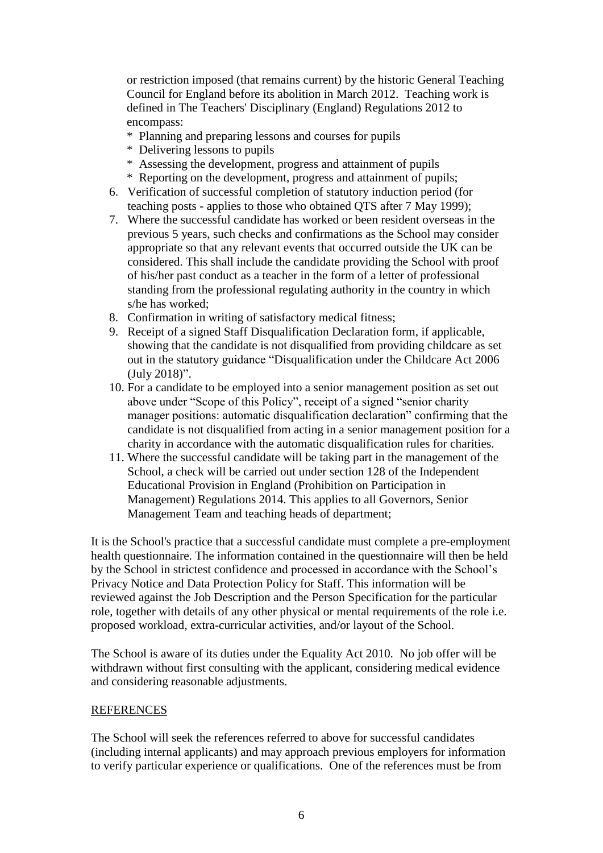or restriction imposed (that remains current) by the historic General Teaching Council for England before its abolition in March 2012. Teaching work is defined in The Teachers' Disciplinary (England) Regulations 2012 to encompass:

- \* Planning and preparing lessons and courses for pupils
- \* Delivering lessons to pupils
- \* Assessing the development, progress and attainment of pupils
- \* Reporting on the development, progress and attainment of pupils;
- 6. Verification of successful completion of statutory induction period (for teaching posts - applies to those who obtained QTS after 7 May 1999);
- 7. Where the successful candidate has worked or been resident overseas in the previous 5 years, such checks and confirmations as the School may consider appropriate so that any relevant events that occurred outside the UK can be considered. This shall include the candidate providing the School with proof of his/her past conduct as a teacher in the form of a letter of professional standing from the professional regulating authority in the country in which s/he has worked;
- 8. Confirmation in writing of satisfactory medical fitness;
- 9. Receipt of a signed Staff Disqualification Declaration form, if applicable, showing that the candidate is not disqualified from providing childcare as set out in the statutory guidance "Disqualification under the Childcare Act 2006 (July 2018)".
- 10. For a candidate to be employed into a senior management position as set out above under "Scope of this Policy", receipt of a signed "senior charity manager positions: automatic disqualification declaration" confirming that the candidate is not disqualified from acting in a senior management position for a charity in accordance with the automatic disqualification rules for charities.
- 11. Where the successful candidate will be taking part in the management of the School, a check will be carried out under section 128 of the Independent Educational Provision in England (Prohibition on Participation in Management) Regulations 2014. This applies to all Governors, Senior Management Team and teaching heads of department;

It is the School's practice that a successful candidate must complete a pre-employment health questionnaire. The information contained in the questionnaire will then be held by the School in strictest confidence and processed in accordance with the School's Privacy Notice and Data Protection Policy for Staff. This information will be reviewed against the Job Description and the Person Specification for the particular role, together with details of any other physical or mental requirements of the role i.e. proposed workload, extra-curricular activities, and/or layout of the School.

The School is aware of its duties under the Equality Act 2010. No job offer will be withdrawn without first consulting with the applicant, considering medical evidence and considering reasonable adjustments.

#### REFERENCES

The School will seek the references referred to above for successful candidates (including internal applicants) and may approach previous employers for information to verify particular experience or qualifications. One of the references must be from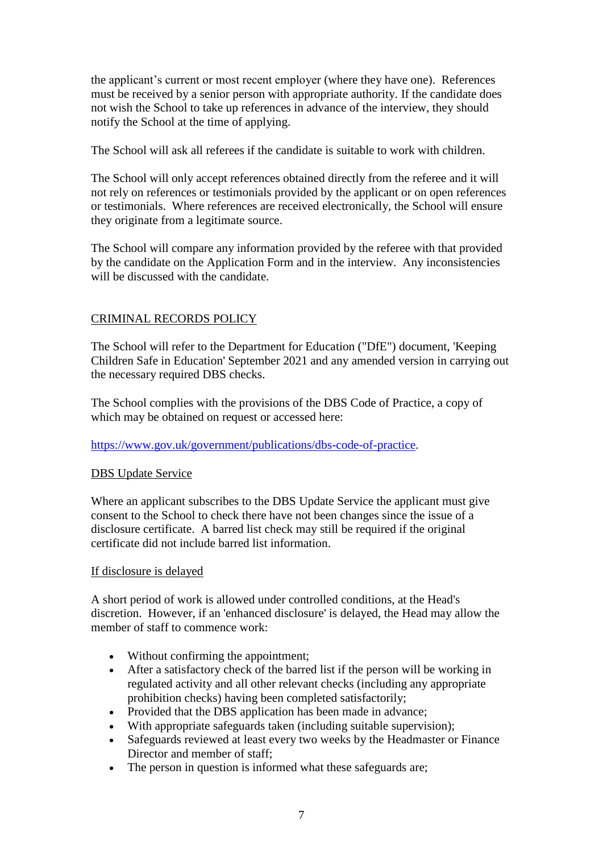the applicant's current or most recent employer (where they have one). References must be received by a senior person with appropriate authority. If the candidate does not wish the School to take up references in advance of the interview, they should notify the School at the time of applying.

The School will ask all referees if the candidate is suitable to work with children.

The School will only accept references obtained directly from the referee and it will not rely on references or testimonials provided by the applicant or on open references or testimonials. Where references are received electronically, the School will ensure they originate from a legitimate source.

The School will compare any information provided by the referee with that provided by the candidate on the Application Form and in the interview. Any inconsistencies will be discussed with the candidate.

### CRIMINAL RECORDS POLICY

The School will refer to the Department for Education ("DfE") document, 'Keeping Children Safe in Education' September 2021 and any amended version in carrying out the necessary required DBS checks.

The School complies with the provisions of the DBS Code of Practice, a copy of which may be obtained on request or accessed here:

#### [https://www.gov.uk/government/publications/dbs-code-of-practice.](https://www.gov.uk/government/publications/dbs-code-of-practice)

#### DBS Update Service

Where an applicant subscribes to the DBS Update Service the applicant must give consent to the School to check there have not been changes since the issue of a disclosure certificate. A barred list check may still be required if the original certificate did not include barred list information.

#### If disclosure is delayed

A short period of work is allowed under controlled conditions, at the Head's discretion. However, if an 'enhanced disclosure' is delayed, the Head may allow the member of staff to commence work:

- Without confirming the appointment;
- After a satisfactory check of the barred list if the person will be working in regulated activity and all other relevant checks (including any appropriate prohibition checks) having been completed satisfactorily;
- Provided that the DBS application has been made in advance;
- With appropriate safeguards taken (including suitable supervision);
- Safeguards reviewed at least every two weeks by the Headmaster or Finance Director and member of staff;
- The person in question is informed what these safeguards are;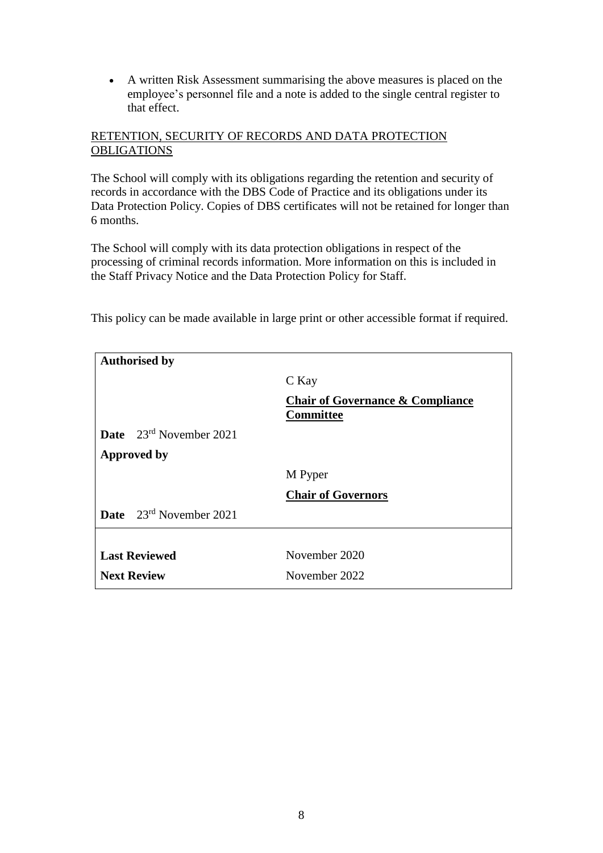A written Risk Assessment summarising the above measures is placed on the employee's personnel file and a note is added to the single central register to that effect.

## RETENTION, SECURITY OF RECORDS AND DATA PROTECTION **OBLIGATIONS**

The School will comply with its obligations regarding the retention and security of records in accordance with the DBS Code of Practice and its obligations under its Data Protection Policy. Copies of DBS certificates will not be retained for longer than 6 months.

The School will comply with its data protection obligations in respect of the processing of criminal records information. More information on this is included in the Staff Privacy Notice and the Data Protection Policy for Staff.

This policy can be made available in large print or other accessible format if required.

| <b>Authorised by</b>                |                                                                 |
|-------------------------------------|-----------------------------------------------------------------|
|                                     | C Kay                                                           |
|                                     | <b>Chair of Governance &amp; Compliance</b><br><b>Committee</b> |
| <b>Date</b> $23^{rd}$ November 2021 |                                                                 |
| <b>Approved by</b>                  |                                                                 |
|                                     | M Pyper                                                         |
|                                     | <b>Chair of Governors</b>                                       |
| Date 23rd November 2021             |                                                                 |
|                                     |                                                                 |
| <b>Last Reviewed</b>                | November 2020                                                   |
| <b>Next Review</b>                  | November 2022                                                   |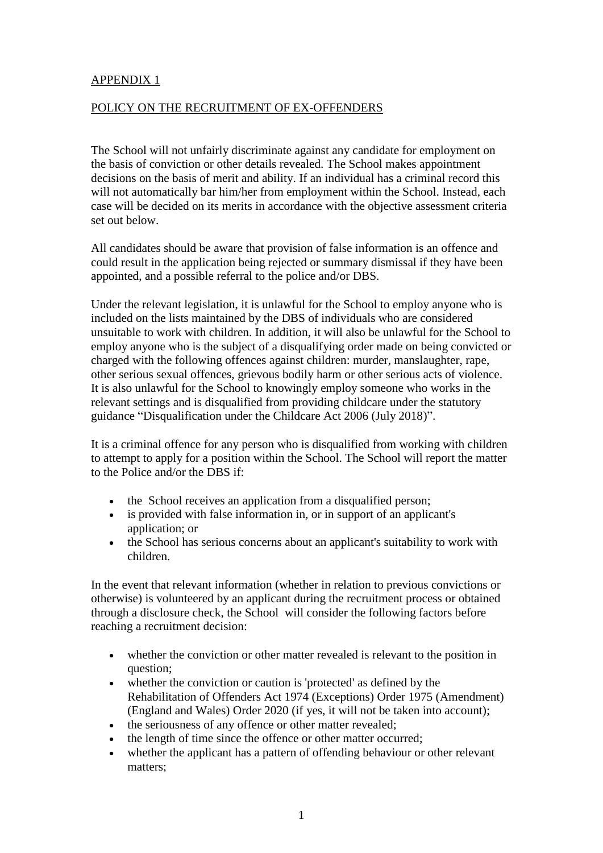## APPENDIX 1

#### POLICY ON THE RECRUITMENT OF EX-OFFENDERS

The School will not unfairly discriminate against any candidate for employment on the basis of conviction or other details revealed. The School makes appointment decisions on the basis of merit and ability. If an individual has a criminal record this will not automatically bar him/her from employment within the School. Instead, each case will be decided on its merits in accordance with the objective assessment criteria set out below.

All candidates should be aware that provision of false information is an offence and could result in the application being rejected or summary dismissal if they have been appointed, and a possible referral to the police and/or DBS.

Under the relevant legislation, it is unlawful for the School to employ anyone who is included on the lists maintained by the DBS of individuals who are considered unsuitable to work with children. In addition, it will also be unlawful for the School to employ anyone who is the subject of a disqualifying order made on being convicted or charged with the following offences against children: murder, manslaughter, rape, other serious sexual offences, grievous bodily harm or other serious acts of violence. It is also unlawful for the School to knowingly employ someone who works in the relevant settings and is disqualified from providing childcare under the statutory guidance "Disqualification under the Childcare Act 2006 (July 2018)".

It is a criminal offence for any person who is disqualified from working with children to attempt to apply for a position within the School. The School will report the matter to the Police and/or the DBS if:

- the School receives an application from a disqualified person;
- is provided with false information in, or in support of an applicant's application; or
- the School has serious concerns about an applicant's suitability to work with children.

In the event that relevant information (whether in relation to previous convictions or otherwise) is volunteered by an applicant during the recruitment process or obtained through a disclosure check, the School will consider the following factors before reaching a recruitment decision:

- whether the conviction or other matter revealed is relevant to the position in question;
- whether the conviction or caution is 'protected' as defined by the Rehabilitation of Offenders Act 1974 (Exceptions) Order 1975 (Amendment) (England and Wales) Order 2020 (if yes, it will not be taken into account);
- the seriousness of any offence or other matter revealed;
- the length of time since the offence or other matter occurred;
- whether the applicant has a pattern of offending behaviour or other relevant matters;